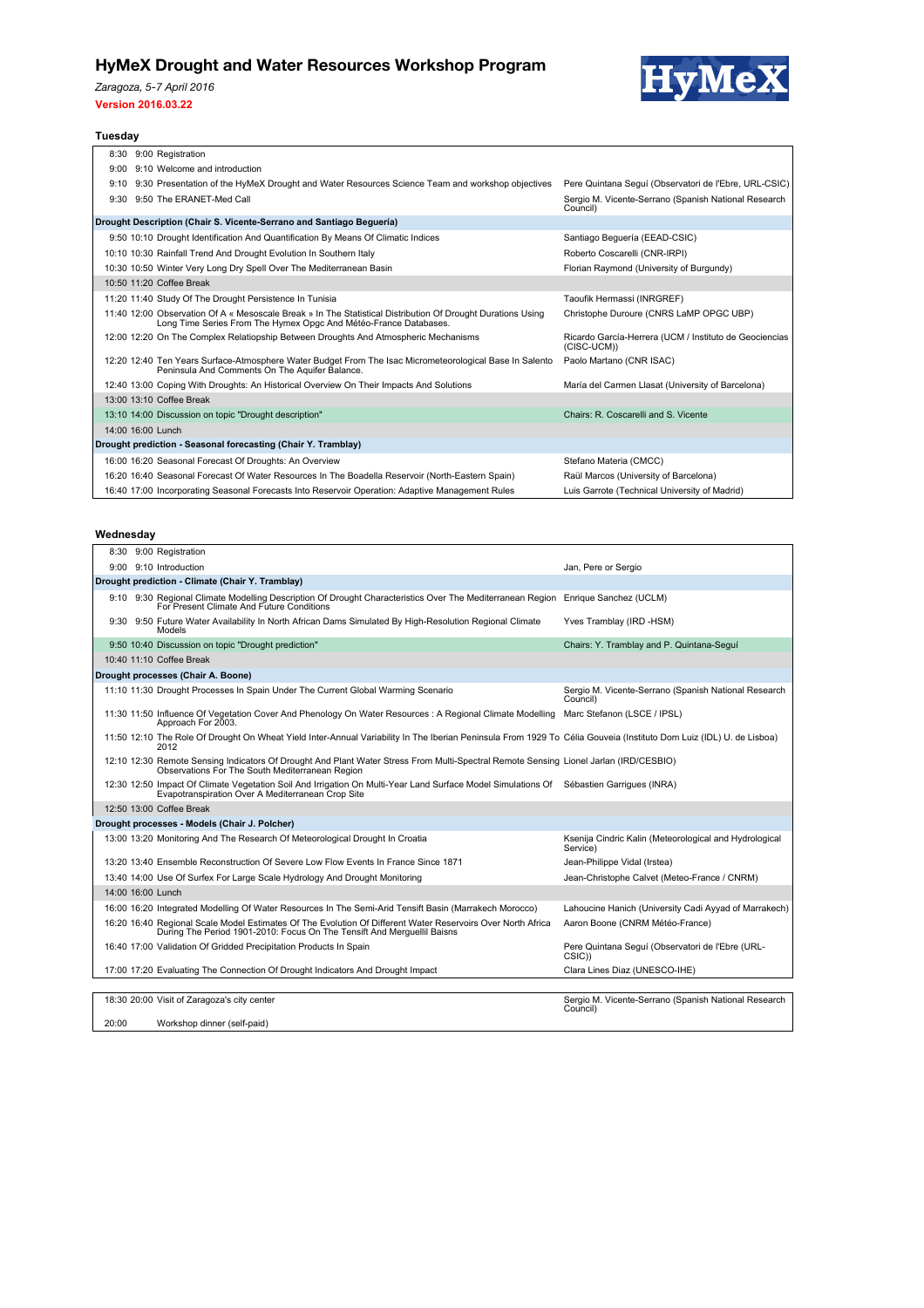# **HyMeX Drought and Water Resources Workshop Program**

*Zaragoza, 5-7 April 2016*

#### **Version 2016.03.22**



# Tuesday<br> **Tuesday**

|                                                               |                                                                      |  | 8:30 9:00 Registration                                                                                                                                                          |                                                                       |  |  |  |  |
|---------------------------------------------------------------|----------------------------------------------------------------------|--|---------------------------------------------------------------------------------------------------------------------------------------------------------------------------------|-----------------------------------------------------------------------|--|--|--|--|
|                                                               |                                                                      |  | 9:00 9:10 Welcome and introduction                                                                                                                                              |                                                                       |  |  |  |  |
|                                                               |                                                                      |  | 9:10 9:30 Presentation of the HyMeX Drought and Water Resources Science Team and workshop objectives                                                                            | Pere Quintana Sequí (Observatori de l'Ebre, URL-CSIC)                 |  |  |  |  |
|                                                               |                                                                      |  | 9:30 9:50 The ERANET-Med Call                                                                                                                                                   | Sergio M. Vicente-Serrano (Spanish National Research<br>Council)      |  |  |  |  |
|                                                               | Drought Description (Chair S. Vicente-Serrano and Santiago Beguería) |  |                                                                                                                                                                                 |                                                                       |  |  |  |  |
|                                                               |                                                                      |  | 9:50 10:10 Drought Identification And Quantification By Means Of Climatic Indices                                                                                               | Santiago Beguería (EEAD-CSIC)                                         |  |  |  |  |
|                                                               |                                                                      |  | 10:10 10:30 Rainfall Trend And Drought Evolution In Southern Italy                                                                                                              | Roberto Coscarelli (CNR-IRPI)                                         |  |  |  |  |
|                                                               |                                                                      |  | 10:30 10:50 Winter Very Long Dry Spell Over The Mediterranean Basin                                                                                                             | Florian Raymond (University of Burgundy)                              |  |  |  |  |
|                                                               |                                                                      |  | 10:50 11:20 Coffee Break                                                                                                                                                        |                                                                       |  |  |  |  |
|                                                               |                                                                      |  | 11:20 11:40 Study Of The Drought Persistence In Tunisia                                                                                                                         | Taoufik Hermassi (INRGREF)                                            |  |  |  |  |
|                                                               |                                                                      |  | 11:40 12:00 Observation Of A « Mesoscale Break » In The Statistical Distribution Of Drought Durations Using<br>Long Time Series From The Hymex Opgc And Météo-France Databases. | Christophe Duroure (CNRS LaMP OPGC UBP)                               |  |  |  |  |
|                                                               |                                                                      |  | 12:00 12:20 On The Complex Relatiopship Between Droughts And Atmospheric Mechanisms                                                                                             | Ricardo García-Herrera (UCM / Instituto de Geociencias<br>(CISC-UCM)) |  |  |  |  |
|                                                               |                                                                      |  | 12:20 12:40 Ten Years Surface-Atmosphere Water Budget From The Isac Micrometeorological Base In Salento<br>Peninsula And Comments On The Aquifer Balance.                       | Paolo Martano (CNR ISAC)                                              |  |  |  |  |
|                                                               |                                                                      |  | 12:40 13:00 Coping With Droughts: An Historical Overview On Their Impacts And Solutions                                                                                         | María del Carmen Llasat (University of Barcelona)                     |  |  |  |  |
|                                                               |                                                                      |  | 13:00 13:10 Coffee Break                                                                                                                                                        |                                                                       |  |  |  |  |
|                                                               |                                                                      |  | 13:10 14:00 Discussion on topic "Drought description"                                                                                                                           | Chairs: R. Coscarelli and S. Vicente                                  |  |  |  |  |
|                                                               |                                                                      |  | 14:00 16:00 Lunch                                                                                                                                                               |                                                                       |  |  |  |  |
| Drought prediction - Seasonal forecasting (Chair Y. Tramblay) |                                                                      |  |                                                                                                                                                                                 |                                                                       |  |  |  |  |
|                                                               |                                                                      |  | 16:00 16:20 Seasonal Forecast Of Droughts: An Overview                                                                                                                          | Stefano Materia (CMCC)                                                |  |  |  |  |
|                                                               |                                                                      |  | 16:20 16:40 Seasonal Forecast Of Water Resources In The Boadella Reservoir (North-Eastern Spain)                                                                                | Raül Marcos (University of Barcelona)                                 |  |  |  |  |
|                                                               |                                                                      |  | 16:40 17:00 Incorporating Seasonal Forecasts Into Reservoir Operation: Adaptive Management Rules                                                                                | Luis Garrote (Technical University of Madrid)                         |  |  |  |  |

### **Wednesday**

|                                                  |  | 8:30 9:00 Registration                                                                                                                                                                       |                                                                    |  |  |
|--------------------------------------------------|--|----------------------------------------------------------------------------------------------------------------------------------------------------------------------------------------------|--------------------------------------------------------------------|--|--|
|                                                  |  | 9:00 9:10 Introduction                                                                                                                                                                       | Jan, Pere or Sergio                                                |  |  |
| Drought prediction - Climate (Chair Y. Tramblay) |  |                                                                                                                                                                                              |                                                                    |  |  |
|                                                  |  | 9:10 9:30 Regional Climate Modelling Description Of Drought Characteristics Over The Mediterranean Region Enrique Sanchez (UCLM)<br>For Present Climate And Future Conditions                |                                                                    |  |  |
|                                                  |  | 9:30 9:50 Future Water Availability In North African Dams Simulated By High-Resolution Regional Climate<br>Models                                                                            | Yves Tramblay (IRD -HSM)                                           |  |  |
|                                                  |  | 9:50 10:40 Discussion on topic "Drought prediction"                                                                                                                                          | Chairs: Y. Tramblay and P. Quintana-Sequí                          |  |  |
|                                                  |  | 10:40 11:10 Coffee Break                                                                                                                                                                     |                                                                    |  |  |
|                                                  |  | Drought processes (Chair A. Boone)                                                                                                                                                           |                                                                    |  |  |
|                                                  |  | 11:10 11:30 Drought Processes In Spain Under The Current Global Warming Scenario                                                                                                             | Sergio M. Vicente-Serrano (Spanish National Research<br>Council)   |  |  |
|                                                  |  | 11:30 11:50 Influence Of Vegetation Cover And Phenology On Water Resources : A Regional Climate Modelling Marc Stefanon (LSCE / IPSL)<br>Approach For 2003.                                  |                                                                    |  |  |
|                                                  |  | 11:50 12:10 The Role Of Drought On Wheat Yield Inter-Annual Variability In The Iberian Peninsula From 1929 To Célia Gouveia (Instituto Dom Luiz (IDL) U. de Lisboa)<br>2012                  |                                                                    |  |  |
|                                                  |  | 12:10 12:30 Remote Sensing Indicators Of Drought And Plant Water Stress From Multi-Spectral Remote Sensing Lionel Jarlan (IRD/CESBIO)<br>Observations For The South Mediterranean Region     |                                                                    |  |  |
|                                                  |  | 12:30 12:50 Impact Of Climate Vegetation Soil And Irrigation On Multi-Year Land Surface Model Simulations Of Sébastien Garrigues (INRA)<br>Evapotranspiration Over A Mediterranean Crop Site |                                                                    |  |  |
|                                                  |  | 12:50 13:00 Coffee Break                                                                                                                                                                     |                                                                    |  |  |
|                                                  |  | Drought processes - Models (Chair J. Polcher)                                                                                                                                                |                                                                    |  |  |
|                                                  |  | 13:00 13:20 Monitoring And The Research Of Meteorological Drought In Croatia                                                                                                                 | Ksenija Cindric Kalin (Meteorological and Hydrological<br>Service) |  |  |
|                                                  |  | 13:20 13:40 Ensemble Reconstruction Of Severe Low Flow Events In France Since 1871                                                                                                           | Jean-Philippe Vidal (Irstea)                                       |  |  |
|                                                  |  | 13:40 14:00 Use Of Surfex For Large Scale Hydrology And Drought Monitoring                                                                                                                   | Jean-Christophe Calvet (Meteo-France / CNRM)                       |  |  |
|                                                  |  | 14:00 16:00 Lunch                                                                                                                                                                            |                                                                    |  |  |
|                                                  |  | 16:00 16:20 Integrated Modelling Of Water Resources In The Semi-Arid Tensift Basin (Marrakech Morocco)                                                                                       | Lahoucine Hanich (University Cadi Ayyad of Marrakech)              |  |  |
|                                                  |  | 16:20 16:40 Regional Scale Model Estimates Of The Evolution Of Different Water Reservoirs Over North Africa<br>During The Period 1901-2010: Focus On The Tensift And Merguellil Baisns       | Aaron Boone (CNRM Météo-France)                                    |  |  |
|                                                  |  | 16:40 17:00 Validation Of Gridded Precipitation Products In Spain                                                                                                                            | Pere Quintana Sequí (Observatori de l'Ebre (URL-<br>CSIC))         |  |  |
|                                                  |  | 17:00 17:20 Evaluating The Connection Of Drought Indicators And Drought Impact                                                                                                               | Clara Lines Diaz (UNESCO-IHE)                                      |  |  |
|                                                  |  |                                                                                                                                                                                              |                                                                    |  |  |
|                                                  |  | 18:30 20:00 Visit of Zaragoza's city center                                                                                                                                                  | Sergio M. Vicente-Serrano (Spanish National Research<br>Council)   |  |  |
| 20:00                                            |  | Workshop dinner (self-paid)                                                                                                                                                                  |                                                                    |  |  |